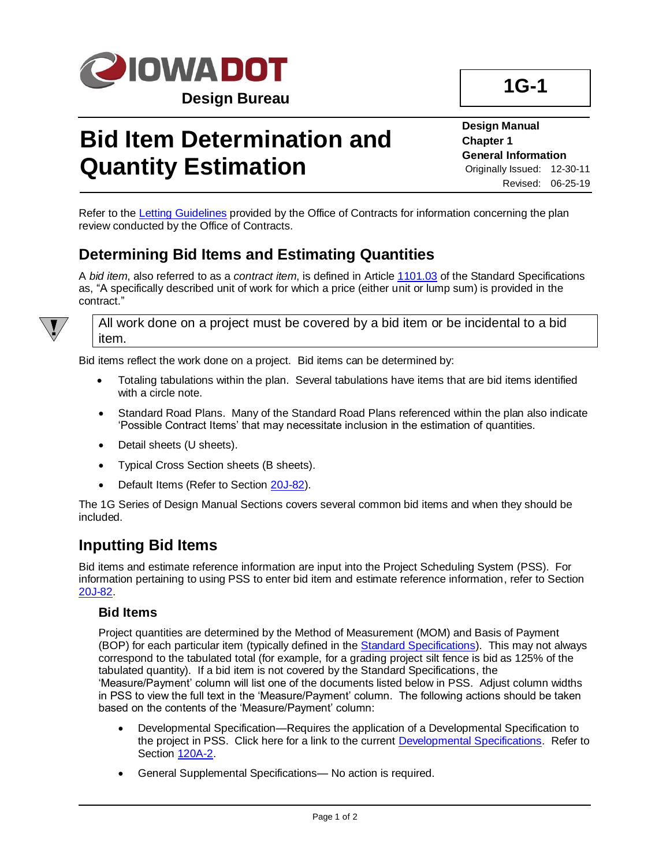

## **Bid Item Determination and Quantity Estimation**

**Design Manual Chapter 1 General Information** Originally Issued: 12-30-11 Revised: 06-25-19

Refer to the [Letting Guidelines](../../contracts/lettings/LettingGuidelines.pdf) provided by the Office of Contracts for information concerning the plan review conducted by the Office of Contracts.

## **Determining Bid Items and Estimating Quantities**

A *bid item*, also referred to as a *contract item*, is defined in Article [1101.03](../../erl/current/GS/content/1101.htm) of the Standard Specifications as, "A specifically described unit of work for which a price (either unit or lump sum) is provided in the contract."



All work done on a project must be covered by a bid item or be incidental to a bid item.

Bid items reflect the work done on a project. Bid items can be determined by:

- Totaling tabulations within the plan. Several tabulations have items that are bid items identified with a circle note.
- Standard Road Plans. Many of the Standard Road Plans referenced within the plan also indicate 'Possible Contract Items' that may necessitate inclusion in the estimation of quantities.
- Detail sheets (U sheets).
- Typical Cross Section sheets (B sheets).
- Default Items (Refer to Section [20J-82\)](20j-82.pdf).

The 1G Series of Design Manual Sections covers several common bid items and when they should be included.

## **Inputting Bid Items**

Bid items and estimate reference information are input into the Project Scheduling System (PSS). For information pertaining to using PSS to enter bid item and estimate reference information, refer to Section [20J-82.](20j-82.pdf)

#### **Bid Items**

Project quantities are determined by the Method of Measurement (MOM) and Basis of Payment (BOP) for each particular item (typically defined in th[e Standard Specifications\)](../../erl/current/GS/Navigation/nav.htm). This may not always correspond to the tabulated total (for example, for a grading project silt fence is bid as 125% of the tabulated quantity). If a bid item is not covered by the Standard Specifications, the 'Measure/Payment' column will list one of the documents listed below in PSS. Adjust column widths in PSS to view the full text in the 'Measure/Payment' column. The following actions should be taken based on the contents of the 'Measure/Payment' column:

- Developmental Specification—Requires the application of a Developmental Specification to the project in PSS. Click here for a link to the current [Developmental Specifications.](../../specifications/Developmental-Specifications-DS/2015) Refer to Section [120A-2.](120a-02.pdf)
- General Supplemental Specifications— No action is required.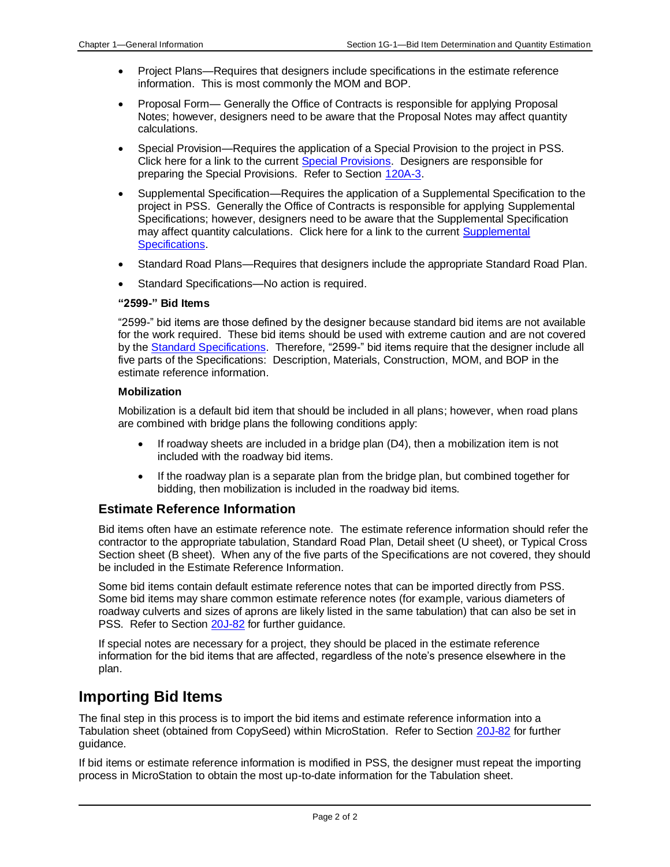- Project Plans—Requires that designers include specifications in the estimate reference information. This is most commonly the MOM and BOP.
- Proposal Form— Generally the Office of Contracts is responsible for applying Proposal Notes; however, designers need to be aware that the Proposal Notes may affect quantity calculations.
- Special Provision—Requires the application of a Special Provision to the project in PSS. Click here for a link to the current [Special Provisions.](../../specifications/Special-Provisions-SP/2015) Designers are responsible for preparing the Special Provisions. Refer to Section [120A-3.](120A-03.pdf)
- Supplemental Specification—Requires the application of a Supplemental Specification to the project in PSS. Generally the Office of Contracts is responsible for applying Supplemental Specifications; however, designers need to be aware that the Supplemental Specification may affect quantity calculations. Click here for a link to the current Supplemental [Specifications.](../../specifications/Supplemental-Specifications-SS/2015)
- Standard Road Plans—Requires that designers include the appropriate Standard Road Plan.
- Standard Specifications—No action is required.

#### **"2599-" Bid Items**

"2599-" bid items are those defined by the designer because standard bid items are not available for the work required. These bid items should be used with extreme caution and are not covered by the [Standard Specifications.](../../erl/current/GS/Navigation/nav.htm) Therefore, "2599-" bid items require that the designer include all five parts of the Specifications: Description, Materials, Construction, MOM, and BOP in the estimate reference information.

#### **Mobilization**

Mobilization is a default bid item that should be included in all plans; however, when road plans are combined with bridge plans the following conditions apply:

- If roadway sheets are included in a bridge plan (D4), then a mobilization item is not included with the roadway bid items.
- If the roadway plan is a separate plan from the bridge plan, but combined together for bidding, then mobilization is included in the roadway bid items.

#### **Estimate Reference Information**

Bid items often have an estimate reference note. The estimate reference information should refer the contractor to the appropriate tabulation, Standard Road Plan, Detail sheet (U sheet), or Typical Cross Section sheet (B sheet). When any of the five parts of the Specifications are not covered, they should be included in the Estimate Reference Information.

Some bid items contain default estimate reference notes that can be imported directly from PSS. Some bid items may share common estimate reference notes (for example, various diameters of roadway culverts and sizes of aprons are likely listed in the same tabulation) that can also be set in PSS. Refer to Section [20J-82](20j-82.pdf) for further guidance.

If special notes are necessary for a project, they should be placed in the estimate reference information for the bid items that are affected, regardless of the note's presence elsewhere in the plan.

### **Importing Bid Items**

The final step in this process is to import the bid items and estimate reference information into a Tabulation sheet (obtained from CopySeed) within MicroStation. Refer to Section [20J-82](20j-82.pdf) for further guidance.

If bid items or estimate reference information is modified in PSS, the designer must repeat the importing process in MicroStation to obtain the most up-to-date information for the Tabulation sheet.